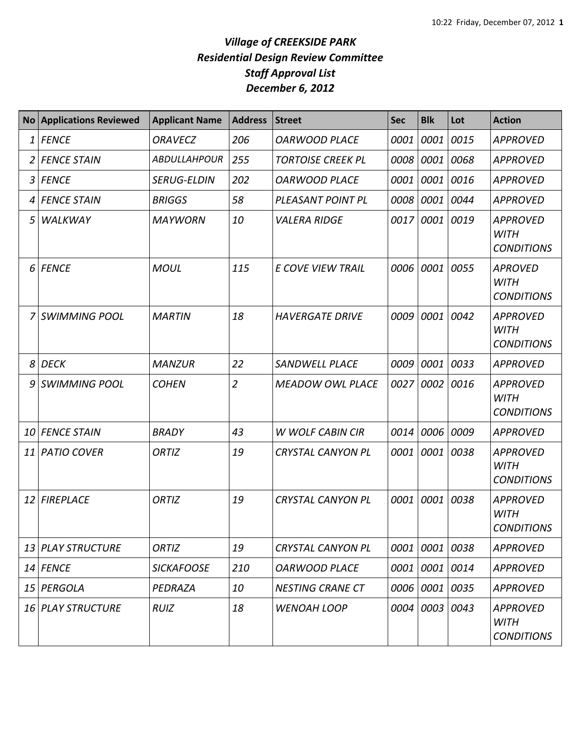|    | <b>No Applications Reviewed</b> | <b>Applicant Name</b> | <b>Address</b> | <b>Street</b>            | <b>Sec</b> | <b>Blk</b>     | Lot  | <b>Action</b>                                       |
|----|---------------------------------|-----------------------|----------------|--------------------------|------------|----------------|------|-----------------------------------------------------|
| 1  | <b>FENCE</b>                    | <b>ORAVECZ</b>        | 206            | <b>OARWOOD PLACE</b>     | 0001       | 0001           | 0015 | <b>APPROVED</b>                                     |
|    | <b>FENCE STAIN</b>              | <b>ABDULLAHPOUR</b>   | 255            | <b>TORTOISE CREEK PL</b> | 0008       | 0001 0068      |      | <b>APPROVED</b>                                     |
|    | 3 FENCE                         | <b>SERUG-ELDIN</b>    | 202            | <b>OARWOOD PLACE</b>     | 0001       | 0001 0016      |      | <b>APPROVED</b>                                     |
| 4  | <b>FENCE STAIN</b>              | <b>BRIGGS</b>         | 58             | PLEASANT POINT PL        | 0008       | 0001 0044      |      | <b>APPROVED</b>                                     |
| 5  | WALKWAY                         | <b>MAYWORN</b>        | 10             | <b>VALERA RIDGE</b>      | 0017       | 0001 0019      |      | <b>APPROVED</b><br><b>WITH</b><br><b>CONDITIONS</b> |
|    | 6 FENCE                         | <b>MOUL</b>           | 115            | <b>E COVE VIEW TRAIL</b> | 0006       | 0001 0055      |      | <b>APROVED</b><br><b>WITH</b><br><b>CONDITIONS</b>  |
|    | <b>SWIMMING POOL</b>            | <b>MARTIN</b>         | 18             | <b>HAVERGATE DRIVE</b>   | 0009       | 0001           | 0042 | <b>APPROVED</b><br><b>WITH</b><br><b>CONDITIONS</b> |
| 8  | <b>DECK</b>                     | <b>MANZUR</b>         | 22             | <b>SANDWELL PLACE</b>    | 0009       | 0001           | 0033 | <b>APPROVED</b>                                     |
| 9  | <b>SWIMMING POOL</b>            | <b>COHEN</b>          | $\overline{2}$ | <b>MEADOW OWL PLACE</b>  | 0027       | 0002           | 0016 | <b>APPROVED</b><br><b>WITH</b><br><b>CONDITIONS</b> |
| 10 | <b>FENCE STAIN</b>              | <b>BRADY</b>          | 43             | <b>W WOLF CABIN CIR</b>  | 0014       | 0006           | 0009 | <b>APPROVED</b>                                     |
| 11 | <b>PATIO COVER</b>              | ORTIZ                 | 19             | <b>CRYSTAL CANYON PL</b> | 0001       | 0001           | 0038 | <b>APPROVED</b><br>WITH<br><b>CONDITIONS</b>        |
|    | 12 FIREPLACE                    | <b>ORTIZ</b>          | 19             | <b>CRYSTAL CANYON PL</b> | 0001       | 0001           | 0038 | <b>APPROVED</b><br><b>WITH</b><br><b>CONDITIONS</b> |
|    | 13 PLAY STRUCTURE               | ORTIZ                 | 19             | <b>CRYSTAL CANYON PL</b> |            | 0001 0001 0038 |      | <b>APPROVED</b>                                     |
|    | 14 FENCE                        | <b>SICKAFOOSE</b>     | 210            | <b>OARWOOD PLACE</b>     | 0001       | 0001 0014      |      | <b>APPROVED</b>                                     |
|    | 15 PERGOLA                      | PEDRAZA               | 10             | <b>NESTING CRANE CT</b>  |            | 0006 0001 0035 |      | <b>APPROVED</b>                                     |
|    | <b>16 PLAY STRUCTURE</b>        | <b>RUIZ</b>           | 18             | <b>WENOAH LOOP</b>       | 0004       | 0003 0043      |      | <b>APPROVED</b><br><b>WITH</b><br><b>CONDITIONS</b> |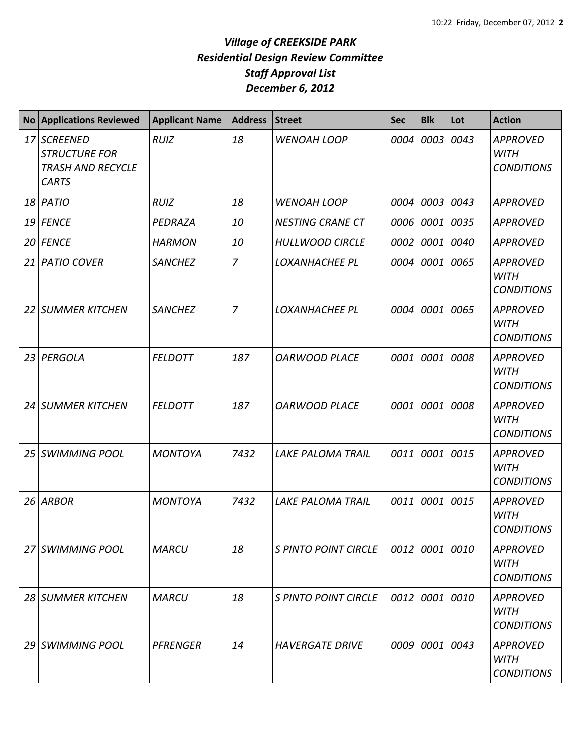| <b>No</b> | <b>Applications Reviewed</b>                                                        | <b>Applicant Name</b> | <b>Address</b> | <b>Street</b>               | <b>Sec</b> | <b>Blk</b> | Lot       | <b>Action</b>                                       |
|-----------|-------------------------------------------------------------------------------------|-----------------------|----------------|-----------------------------|------------|------------|-----------|-----------------------------------------------------|
| 17        | <b>SCREENED</b><br><b>STRUCTURE FOR</b><br><b>TRASH AND RECYCLE</b><br><b>CARTS</b> | <b>RUIZ</b>           | 18             | <b>WENOAH LOOP</b>          | 0004       | 0003       | 0043      | <b>APPROVED</b><br><b>WITH</b><br><b>CONDITIONS</b> |
|           | 18 PATIO                                                                            | <b>RUIZ</b>           | 18             | <b>WENOAH LOOP</b>          | 0004       | 0003 0043  |           | <b>APPROVED</b>                                     |
| 19        | <b>FENCE</b>                                                                        | PEDRAZA               | 10             | <b>NESTING CRANE CT</b>     | 0006       | 0001 0035  |           | <b>APPROVED</b>                                     |
|           | 20 FENCE                                                                            | <b>HARMON</b>         | 10             | <b>HULLWOOD CIRCLE</b>      | 0002       |            | 0001 0040 | <b>APPROVED</b>                                     |
| 21        | <b>PATIO COVER</b>                                                                  | <b>SANCHEZ</b>        | $\overline{7}$ | <b>LOXANHACHEE PL</b>       | 0004       | 0001       | 0065      | <b>APPROVED</b><br><b>WITH</b><br><b>CONDITIONS</b> |
| 22        | <b>SUMMER KITCHEN</b>                                                               | <b>SANCHEZ</b>        | $\overline{7}$ | <b>LOXANHACHEE PL</b>       | 0004       | 0001       | 0065      | <b>APPROVED</b><br><b>WITH</b><br><b>CONDITIONS</b> |
| 23        | PERGOLA                                                                             | <b>FELDOTT</b>        | 187            | <b>OARWOOD PLACE</b>        | 0001       | 0001       | 0008      | <b>APPROVED</b><br><b>WITH</b><br><b>CONDITIONS</b> |
| 24        | <b>SUMMER KITCHEN</b>                                                               | <b>FELDOTT</b>        | 187            | <b>OARWOOD PLACE</b>        | 0001       |            | 0001 0008 | <b>APPROVED</b><br><b>WITH</b><br><b>CONDITIONS</b> |
| 25        | <b>SWIMMING POOL</b>                                                                | <b>MONTOYA</b>        | 7432           | <b>LAKE PALOMA TRAIL</b>    | 0011       |            | 0001 0015 | <b>APPROVED</b><br><b>WITH</b><br><b>CONDITIONS</b> |
| 26        | <b>ARBOR</b>                                                                        | <b>MONTOYA</b>        | 7432           | <b>LAKE PALOMA TRAIL</b>    | 0011       |            | 0001 0015 | <b>APPROVED</b><br><b>WITH</b><br><b>CONDITIONS</b> |
| 27        | <b>SWIMMING POOL</b>                                                                | <b>MARCU</b>          | 18             | <b>S PINTO POINT CIRCLE</b> | 0012       | 0001 0010  |           | <b>APPROVED</b><br><b>WITH</b><br><b>CONDITIONS</b> |
|           | 28 SUMMER KITCHEN                                                                   | <b>MARCU</b>          | 18             | <b>S PINTO POINT CIRCLE</b> | 0012       |            | 0001 0010 | <b>APPROVED</b><br><b>WITH</b><br><b>CONDITIONS</b> |
| 29        | <b>SWIMMING POOL</b>                                                                | <b>PFRENGER</b>       | 14             | <b>HAVERGATE DRIVE</b>      | 0009       | 0001 0043  |           | <b>APPROVED</b><br><b>WITH</b><br><b>CONDITIONS</b> |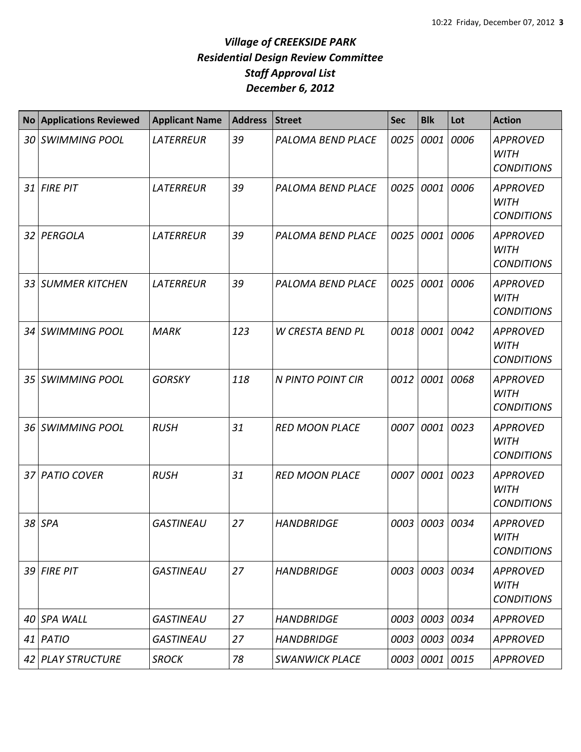| <b>No</b> | <b>Applications Reviewed</b> | <b>Applicant Name</b> | <b>Address</b> | <b>Street</b>            | <b>Sec</b> | <b>Blk</b>     | Lot       | <b>Action</b>                                       |
|-----------|------------------------------|-----------------------|----------------|--------------------------|------------|----------------|-----------|-----------------------------------------------------|
| 30 I      | <b>SWIMMING POOL</b>         | <b>LATERREUR</b>      | 39             | PALOMA BEND PLACE        | 0025       | 0001           | 0006      | <b>APPROVED</b><br><b>WITH</b><br><b>CONDITIONS</b> |
| 31        | <b>FIRE PIT</b>              | <b>LATERREUR</b>      | 39             | PALOMA BEND PLACE        | 0025       | 0001 0006      |           | <b>APPROVED</b><br><b>WITH</b><br><b>CONDITIONS</b> |
| 32        | PERGOLA                      | <b>LATERREUR</b>      | 39             | <b>PALOMA BEND PLACE</b> | 0025       | 0001           | 0006      | <b>APPROVED</b><br><b>WITH</b><br><b>CONDITIONS</b> |
| 33        | <b>SUMMER KITCHEN</b>        | <b>LATERREUR</b>      | 39             | PALOMA BEND PLACE        | 0025       | 0001           | 0006      | <b>APPROVED</b><br><b>WITH</b><br><b>CONDITIONS</b> |
|           | 34 SWIMMING POOL             | <b>MARK</b>           | 123            | W CRESTA BEND PL         | 0018       | 0001           | 0042      | <b>APPROVED</b><br><b>WITH</b><br><b>CONDITIONS</b> |
| 35        | <b>SWIMMING POOL</b>         | <b>GORSKY</b>         | 118            | N PINTO POINT CIR        | 0012       | 0001 0068      |           | <b>APPROVED</b><br><b>WITH</b><br><b>CONDITIONS</b> |
| 36        | <b>SWIMMING POOL</b>         | <b>RUSH</b>           | 31             | <b>RED MOON PLACE</b>    | 0007       |                | 0001 0023 | <b>APPROVED</b><br><b>WITH</b><br><b>CONDITIONS</b> |
| 37 I      | <b>PATIO COVER</b>           | <b>RUSH</b>           | 31             | <b>RED MOON PLACE</b>    | 0007       | 0001           | 0023      | <b>APPROVED</b><br><b>WITH</b><br><b>CONDITIONS</b> |
| 38        | <b>SPA</b>                   | <b>GASTINEAU</b>      | 27             | <b>HANDBRIDGE</b>        | 0003       | 0003 0034      |           | <b>APPROVED</b><br><b>WITH</b><br><b>CONDITIONS</b> |
|           | 39 FIRE PIT                  | <b>GASTINEAU</b>      | 27             | <b>HANDBRIDGE</b>        |            | 0003 0003 0034 |           | <b>APPROVED</b><br><b>WITH</b><br><b>CONDITIONS</b> |
| 40        | <b>SPA WALL</b>              | <b>GASTINEAU</b>      | 27             | <b>HANDBRIDGE</b>        | 0003       |                | 0003 0034 | <b>APPROVED</b>                                     |
|           | $41$ PATIO                   | <b>GASTINEAU</b>      | 27             | <b>HANDBRIDGE</b>        | 0003       | 0003 0034      |           | <b>APPROVED</b>                                     |
|           | 42 PLAY STRUCTURE            | <b>SROCK</b>          | 78             | <b>SWANWICK PLACE</b>    | 0003       | 0001 0015      |           | <b>APPROVED</b>                                     |